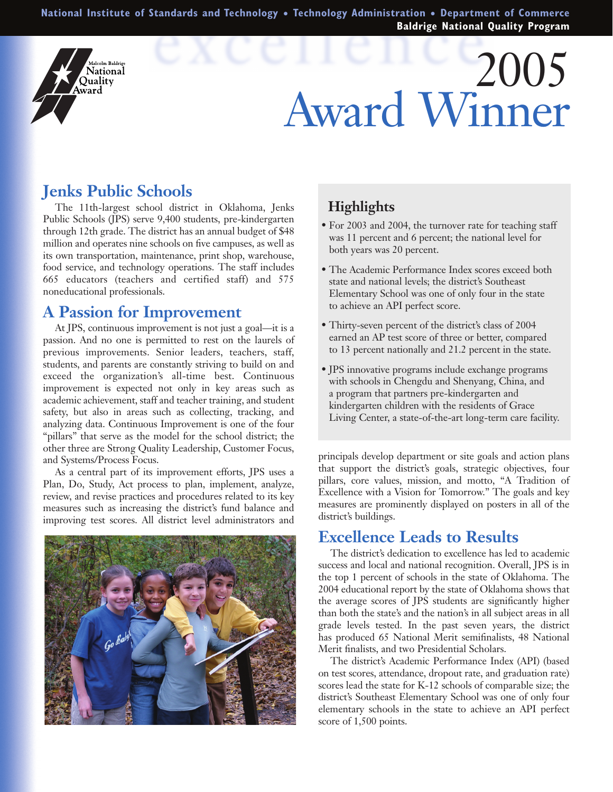**National Institute of Standards and Technology** ● **Technology Administration** ● **Department of Commerce Baldrige National Quality Program**

# 2005 Award Winner

## **Jenks Public Schools**

alcolm Baldrige Vational Ouality Award

The 11th-largest school district in Oklahoma, Jenks Public Schools (JPS) serve 9,400 students, pre-kindergarten through 12th grade. The district has an annual budget of \$48 million and operates nine schools on five campuses, as well as its own transportation, maintenance, print shop, warehouse, food service, and technology operations. The staff includes 665 educators (teachers and certified staff) and 575 noneducational professionals.

### **A Passion for Improvement**

At JPS, continuous improvement is not just a goal—it is a passion. And no one is permitted to rest on the laurels of previous improvements. Senior leaders, teachers, staff, students, and parents are constantly striving to build on and exceed the organization's all-time best. Continuous improvement is expected not only in key areas such as academic achievement, staff and teacher training, and student safety, but also in areas such as collecting, tracking, and analyzing data. Continuous Improvement is one of the four "pillars" that serve as the model for the school district; the other three are Strong Quality Leadership, Customer Focus, and Systems/Process Focus.

As a central part of its improvement efforts, JPS uses a Plan, Do, Study, Act process to plan, implement, analyze, review, and revise practices and procedures related to its key measures such as increasing the district's fund balance and improving test scores. All district level administrators and



#### **Highlights**

- For 2003 and 2004, the turnover rate for teaching staff was 11 percent and 6 percent; the national level for both years was 20 percent.
- The Academic Performance Index scores exceed both state and national levels; the district's Southeast Elementary School was one of only four in the state to achieve an API perfect score.
- Thirty-seven percent of the district's class of 2004 earned an AP test score of three or better, compared to 13 percent nationally and 21.2 percent in the state.
- JPS innovative programs include exchange programs with schools in Chengdu and Shenyang, China, and a program that partners pre-kindergarten and kindergarten children with the residents of Grace Living Center, a state-of-the-art long-term care facility.

principals develop department or site goals and action plans that support the district's goals, strategic objectives, four pillars, core values, mission, and motto, "A Tradition of Excellence with a Vision for Tomorrow." The goals and key measures are prominently displayed on posters in all of the district's buildings.

#### **Excellence Leads to Results**

The district's dedication to excellence has led to academic success and local and national recognition. Overall, JPS is in the top 1 percent of schools in the state of Oklahoma. The 2004 educational report by the state of Oklahoma shows that the average scores of JPS students are significantly higher than both the state's and the nation's in all subject areas in all grade levels tested. In the past seven years, the district has produced 65 National Merit semifinalists, 48 National Merit finalists, and two Presidential Scholars.

The district's Academic Performance Index (API) (based on test scores, attendance, dropout rate, and graduation rate) scores lead the state for K-12 schools of comparable size; the district's Southeast Elementary School was one of only four elementary schools in the state to achieve an API perfect score of 1,500 points.